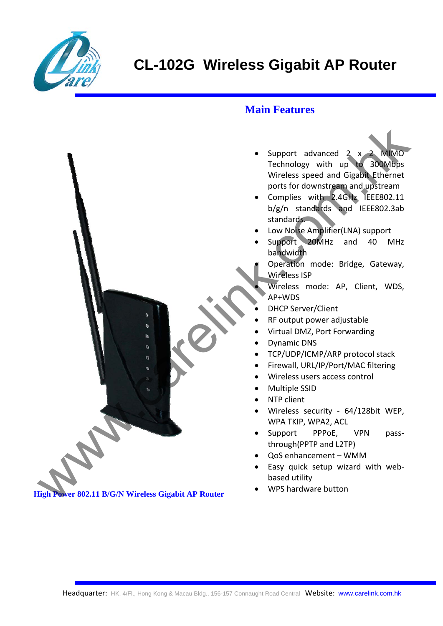

## **Main Features**

- Support advanced 2 x 2 MIMO Technology with up to 300Mbps Wireless speed and Gigabit Ethernet ports for downstream and upstream Support advanced a Complete the Chinach Miles Speed and disabilities<br>
Wireless speed and Gigant Fifternet<br>
points for downstream and Junkil<br>
Support<br>
Complise with 2-4GM Support<br>
Complise with 2-4GM EFERSO2.31b<br>
Standards<br>
	- Complies with 2.4GHz IEEE802.11 b/g/n standards and IEEE802.3ab standards.
	- Low Noise Amplifier(LNA) support
	- Support 20MHz and 40 MHz bandwidth
	- Operation mode: Bridge, Gateway, Wireless ISP
		- Wireless mode: AP, Client, WDS, AP+WDS
	- DHCP Server/Client
	- RF output power adjustable
	- Virtual DMZ, Port Forwarding
	- Dynamic DNS
	- TCP/UDP/ICMP/ARP protocol stack
	- Firewall, URL/IP/Port/MAC filtering
	- Wireless users access control
	- Multiple SSID
	- NTP client
	- Wireless security 64/128bit WEP. WPA TKIP, WPA2, ACL
	- Support PPPoE, VPN passthrough(PPTP and L2TP)
	- QoS enhancement WMM
	- Easy quick setup wizard with web‐ based utility
	- WPS hardware button

 **High Power 802.11 B/G/N Wireless Gigabit AP Router**